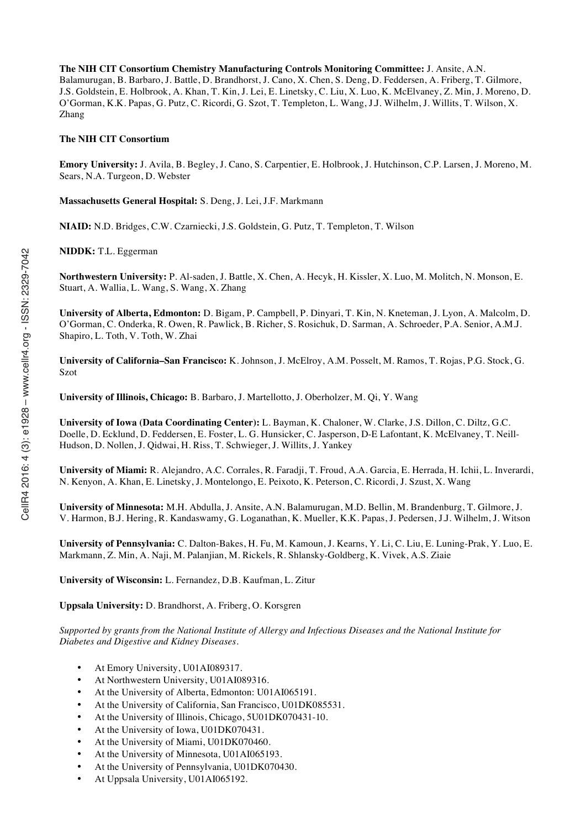**The NIH CIT Consortium Chemistry Manufacturing Controls Monitoring Committee:** J. Ansite, A.N. Balamurugan, B. Barbaro, J. Battle, D. Brandhorst, J. Cano, X. Chen, S. Deng, D. Feddersen, A. Friberg, T. Gilmore, J.S. Goldstein, E. Holbrook, A. Khan, T. Kin, J. Lei, E. Linetsky, C. Liu, X. Luo, K. McElvaney, Z. Min, J. Moreno, D. O'Gorman, K.K. Papas, G. Putz, C. Ricordi, G. Szot, T. Templeton, L. Wang, J.J. Wilhelm, J. Willits, T. Wilson, X. Zhang

#### **The NIH CIT Consortium**

**Emory University:** J. Avila, B. Begley, J. Cano, S. Carpentier, E. Holbrook, J. Hutchinson, C.P. Larsen, J. Moreno, M. Sears, N.A. Turgeon, D. Webster

**Massachusetts General Hospital:** S. Deng, J. Lei, J.F. Markmann

**NIAID:** N.D. Bridges, C.W. Czarniecki, J.S. Goldstein, G. Putz, T. Templeton, T. Wilson

**NIDDK:** T.L. Eggerman

**Northwestern University:** P. Al-saden, J. Battle, X. Chen, A. Hecyk, H. Kissler, X. Luo, M. Molitch, N. Monson, E. Stuart, A. Wallia, L. Wang, S. Wang, X. Zhang

**University of Alberta, Edmonton:** D. Bigam, P. Campbell, P. Dinyari, T. Kin, N. Kneteman, J. Lyon, A. Malcolm, D. O'Gorman, C. Onderka, R. Owen, R. Pawlick, B. Richer, S. Rosichuk, D. Sarman, A. Schroeder, P.A. Senior, A.M.J. Shapiro, L. Toth, V. Toth, W. Zhai

**University of California–San Francisco:** K. Johnson, J. McElroy, A.M. Posselt, M. Ramos, T. Rojas, P.G. Stock, G. Szot

**University of Illinois, Chicago:** B. Barbaro, J. Martellotto, J. Oberholzer, M. Qi, Y. Wang

**University of Iowa (Data Coordinating Center):** L. Bayman, K. Chaloner, W. Clarke, J.S. Dillon, C. Diltz, G.C. Doelle, D. Ecklund, D. Feddersen, E. Foster, L. G. Hunsicker, C. Jasperson, D-E Lafontant, K. McElvaney, T. Neill-Hudson, D. Nollen, J. Qidwai, H. Riss, T. Schwieger, J. Willits, J. Yankey

**University of Miami:** R. Alejandro, A.C. Corrales, R. Faradji, T. Froud, A.A. Garcia, E. Herrada, H. Ichii, L. Inverardi, N. Kenyon, A. Khan, E. Linetsky, J. Montelongo, E. Peixoto, K. Peterson, C. Ricordi, J. Szust, X. Wang

**University of Minnesota:** M.H. Abdulla, J. Ansite, A.N. Balamurugan, M.D. Bellin, M. Brandenburg, T. Gilmore, J. V. Harmon, B.J. Hering, R. Kandaswamy, G. Loganathan, K. Mueller, K.K. Papas, J. Pedersen, J.J. Wilhelm, J. Witson

**University of Pennsylvania:** C. Dalton-Bakes, H. Fu, M. Kamoun, J. Kearns, Y. Li, C. Liu, E. Luning-Prak, Y. Luo, E. Markmann, Z. Min, A. Naji, M. Palanjian, M. Rickels, R. Shlansky-Goldberg, K. Vivek, A.S. Ziaie

**University of Wisconsin:** L. Fernandez, D.B. Kaufman, L. Zitur

**Uppsala University:** D. Brandhorst, A. Friberg, O. Korsgren

*Supported by grants from the National Institute of Allergy and Infectious Diseases and the National Institute for Diabetes and Digestive and Kidney Diseases.*

- At Emory University, U01AI089317.
- At Northwestern University, U01AI089316.
- At the University of Alberta, Edmonton: U01AI065191.
- At the University of California, San Francisco, U01DK085531.
- At the University of Illinois, Chicago, 5U01DK070431-10.
- At the University of Iowa, U01DK070431.
- At the University of Miami, U01DK070460.
- At the University of Minnesota, U01AI065193.
- At the University of Pennsylvania, U01DK070430.
- At Uppsala University, U01AI065192.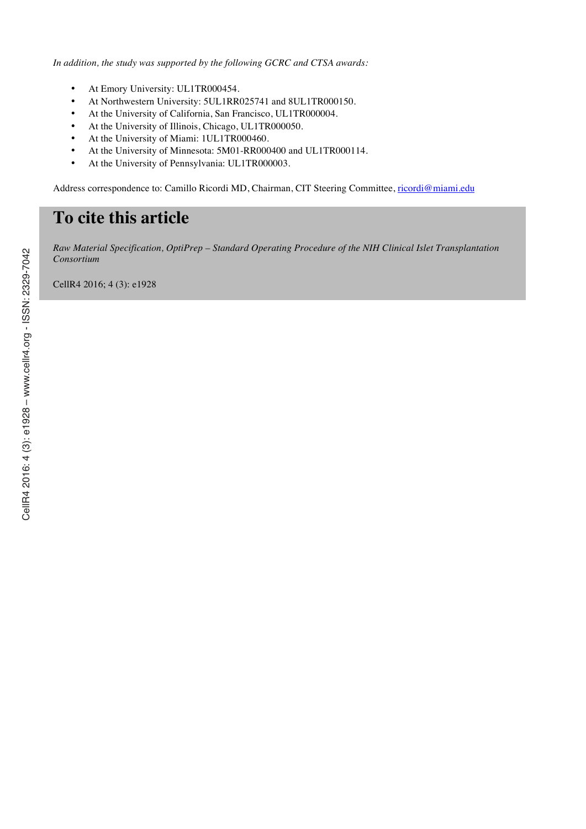*In addition, the study was supported by the following GCRC and CTSA awards:*

- At Emory University: UL1TR000454.
- At Northwestern University: 5UL1RR025741 and 8UL1TR000150.
- At the University of California, San Francisco, UL1TR000004.
- At the University of Illinois, Chicago, UL1TR000050.
- At the University of Miami: 1UL1TR000460.
- At the University of Minnesota: 5M01-RR000400 and UL1TR000114.
- At the University of Pennsylvania: UL1TR000003.

Address correspondence to: Camillo Ricordi MD, Chairman, CIT Steering Committee, ricordi@miami.edu

# **To cite this article**

*Raw Material Specification, OptiPrep – Standard Operating Procedure of the NIH Clinical Islet Transplantation Consortium*

CellR4 2016; 4 (3): e1928